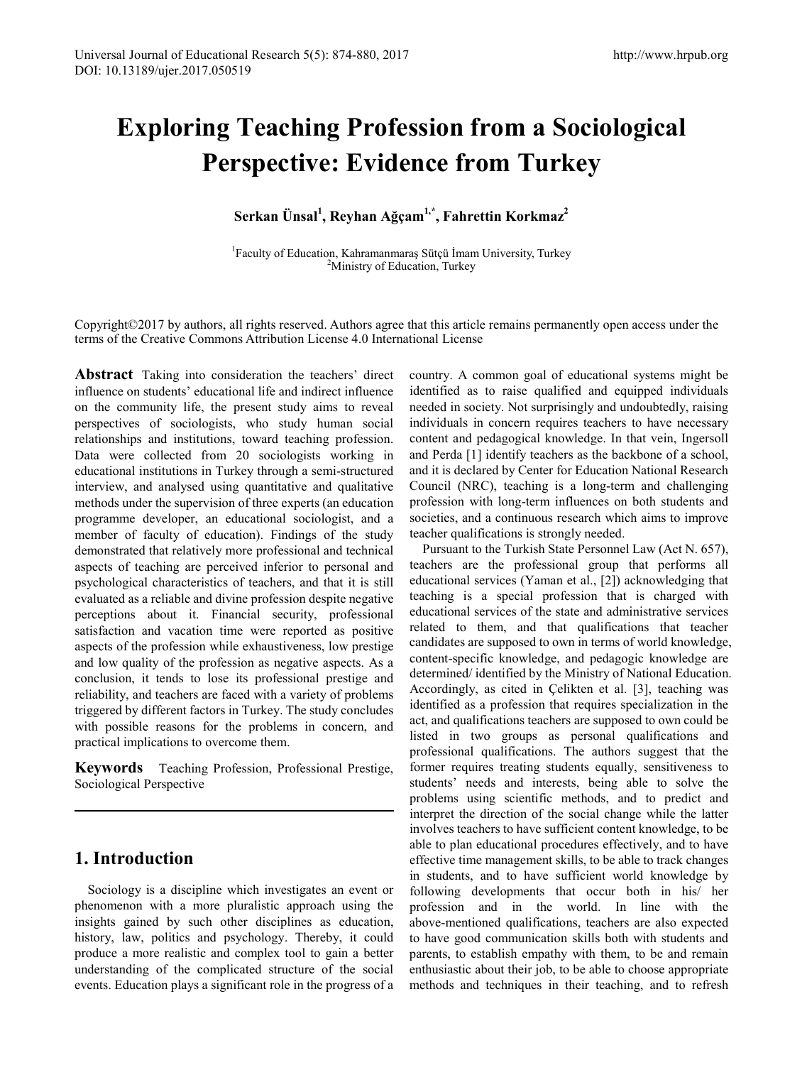# **Exploring Teaching Profession from a Sociological Perspective: Evidence from Turkey**

**Serkan Ünsal<sup>1</sup> , Reyhan Ağçam1,\*, Fahrettin Korkmaz2**

<sup>1</sup> Faculty of Education, Kahramanmaraş Sütçü İmam University, Turkey  $2\lambda$ linistry of Education, Turkey <sup>2</sup>Ministry of Education, Turkey

Copyright©2017 by authors, all rights reserved. Authors agree that this article remains permanently open access under the terms of the Creative Commons Attribution License 4.0 International License

**Abstract** Taking into consideration the teachers' direct influence on students' educational life and indirect influence on the community life, the present study aims to reveal perspectives of sociologists, who study human social relationships and institutions, toward teaching profession. Data were collected from 20 sociologists working in educational institutions in Turkey through a semi-structured interview, and analysed using quantitative and qualitative methods under the supervision of three experts (an education programme developer, an educational sociologist, and a member of faculty of education). Findings of the study demonstrated that relatively more professional and technical aspects of teaching are perceived inferior to personal and psychological characteristics of teachers, and that it is still evaluated as a reliable and divine profession despite negative perceptions about it. Financial security, professional satisfaction and vacation time were reported as positive aspects of the profession while exhaustiveness, low prestige and low quality of the profession as negative aspects. As a conclusion, it tends to lose its professional prestige and reliability, and teachers are faced with a variety of problems triggered by different factors in Turkey. The study concludes with possible reasons for the problems in concern, and practical implications to overcome them.

**Keywords** Teaching Profession, Professional Prestige, Sociological Perspective

## **1. Introduction**

Sociology is a discipline which investigates an event or phenomenon with a more pluralistic approach using the insights gained by such other disciplines as education, history, law, politics and psychology. Thereby, it could produce a more realistic and complex tool to gain a better understanding of the complicated structure of the social events. Education plays a significant role in the progress of a country. A common goal of educational systems might be identified as to raise qualified and equipped individuals needed in society. Not surprisingly and undoubtedly, raising individuals in concern requires teachers to have necessary content and pedagogical knowledge. In that vein, Ingersoll and Perda [1] identify teachers as the backbone of a school, and it is declared by Center for Education National Research Council (NRC), teaching is a long-term and challenging profession with long-term influences on both students and societies, and a continuous research which aims to improve teacher qualifications is strongly needed.

Pursuant to the Turkish State Personnel Law (Act N. 657), teachers are the professional group that performs all educational services (Yaman et al., [2]) acknowledging that teaching is a special profession that is charged with educational services of the state and administrative services related to them, and that qualifications that teacher candidates are supposed to own in terms of world knowledge, content-specific knowledge, and pedagogic knowledge are determined/ identified by the Ministry of National Education. Accordingly, as cited in Çelikten et al. [3], teaching was identified as a profession that requires specialization in the act, and qualifications teachers are supposed to own could be listed in two groups as personal qualifications and professional qualifications. The authors suggest that the former requires treating students equally, sensitiveness to students' needs and interests, being able to solve the problems using scientific methods, and to predict and interpret the direction of the social change while the latter involves teachers to have sufficient content knowledge, to be able to plan educational procedures effectively, and to have effective time management skills, to be able to track changes in students, and to have sufficient world knowledge by following developments that occur both in his/ her profession and in the world. In line with the above-mentioned qualifications, teachers are also expected to have good communication skills both with students and parents, to establish empathy with them, to be and remain enthusiastic about their job, to be able to choose appropriate methods and techniques in their teaching, and to refresh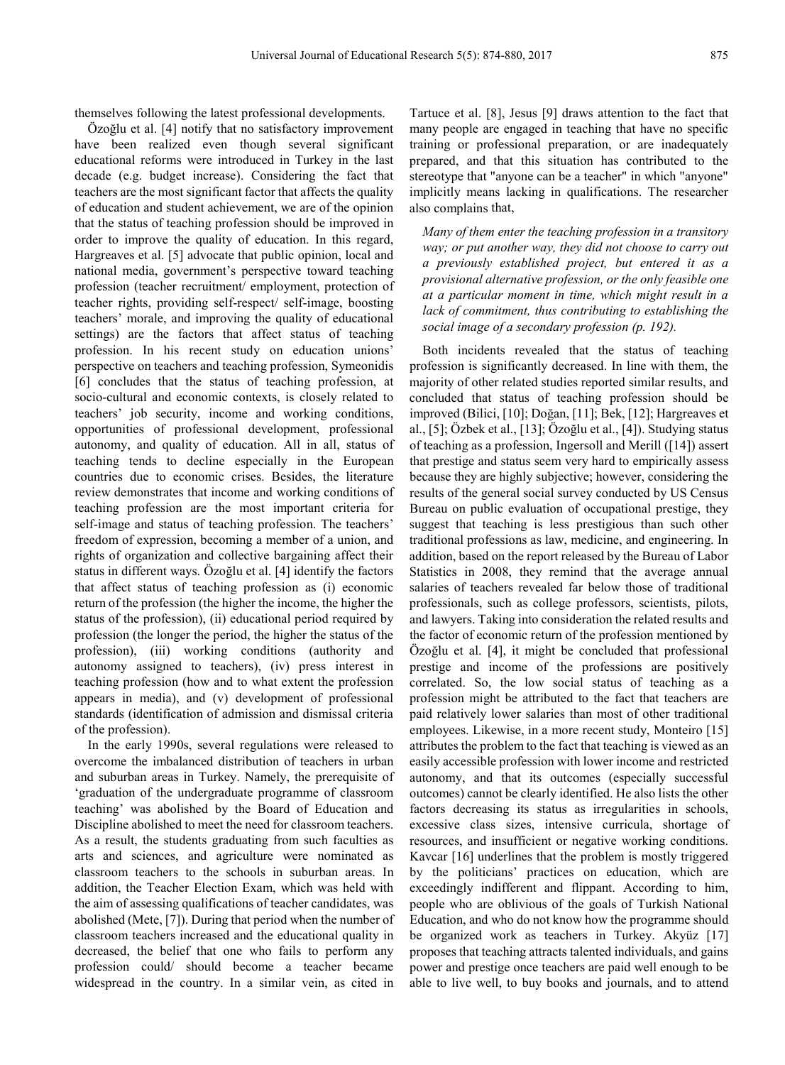themselves following the latest professional developments.

Özoğlu et al. [4] notify that no satisfactory improvement have been realized even though several significant educational reforms were introduced in Turkey in the last decade (e.g. budget increase). Considering the fact that teachers are the most significant factor that affects the quality of education and student achievement, we are of the opinion that the status of teaching profession should be improved in order to improve the quality of education. In this regard, Hargreaves et al. [5] advocate that public opinion, local and national media, government's perspective toward teaching profession (teacher recruitment/ employment, protection of teacher rights, providing self-respect/ self-image, boosting teachers' morale, and improving the quality of educational settings) are the factors that affect status of teaching profession. In his recent study on education unions' perspective on teachers and teaching profession, Symeonidis [6] concludes that the status of teaching profession, at socio-cultural and economic contexts, is closely related to teachers' job security, income and working conditions, opportunities of professional development, professional autonomy, and quality of education. All in all, status of teaching tends to decline especially in the European countries due to economic crises. Besides, the literature review demonstrates that income and working conditions of teaching profession are the most important criteria for self-image and status of teaching profession. The teachers' freedom of expression, becoming a member of a union, and rights of organization and collective bargaining affect their status in different ways. Özoğlu et al. [4] identify the factors that affect status of teaching profession as (i) economic return of the profession (the higher the income, the higher the status of the profession), (ii) educational period required by profession (the longer the period, the higher the status of the profession), (iii) working conditions (authority and autonomy assigned to teachers), (iv) press interest in teaching profession (how and to what extent the profession appears in media), and (v) development of professional standards (identification of admission and dismissal criteria of the profession).

In the early 1990s, several regulations were released to overcome the imbalanced distribution of teachers in urban and suburban areas in Turkey. Namely, the prerequisite of 'graduation of the undergraduate programme of classroom teaching' was abolished by the Board of Education and Discipline abolished to meet the need for classroom teachers. As a result, the students graduating from such faculties as arts and sciences, and agriculture were nominated as classroom teachers to the schools in suburban areas. In addition, the Teacher Election Exam, which was held with the aim of assessing qualifications of teacher candidates, was abolished (Mete, [7]). During that period when the number of classroom teachers increased and the educational quality in decreased, the belief that one who fails to perform any profession could/ should become a teacher became widespread in the country. In a similar vein, as cited in Tartuce et al. [8], Jesus [9] draws attention to the fact that many people are engaged in teaching that have no specific training or professional preparation, or are inadequately prepared, and that this situation has contributed to the stereotype that "anyone can be a teacher" in which "anyone" implicitly means lacking in qualifications. The researcher also complains that,

*Many of them enter the teaching profession in a transitory way; or put another way, they did not choose to carry out a previously established project, but entered it as a provisional alternative profession, or the only feasible one at a particular moment in time, which might result in a lack of commitment, thus contributing to establishing the social image of a secondary profession (p. 192).*

Both incidents revealed that the status of teaching profession is significantly decreased. In line with them, the majority of other related studies reported similar results, and concluded that status of teaching profession should be improved (Bilici, [10]; Doğan, [11]; Bek, [12]; Hargreaves et al., [5]; Özbek et al., [13]; Özoğlu et al., [4]). Studying status of teaching as a profession, Ingersoll and Merill ([14]) assert that prestige and status seem very hard to empirically assess because they are highly subjective; however, considering the results of the general social survey conducted by US Census Bureau on public evaluation of occupational prestige, they suggest that teaching is less prestigious than such other traditional professions as law, medicine, and engineering. In addition, based on the report released by the Bureau of Labor Statistics in 2008, they remind that the average annual salaries of teachers revealed far below those of traditional professionals, such as college professors, scientists, pilots, and lawyers. Taking into consideration the related results and the factor of economic return of the profession mentioned by Özoğlu et al. [4], it might be concluded that professional prestige and income of the professions are positively correlated. So, the low social status of teaching as a profession might be attributed to the fact that teachers are paid relatively lower salaries than most of other traditional employees. Likewise, in a more recent study, Monteiro [15] attributes the problem to the fact that teaching is viewed as an easily accessible profession with lower income and restricted autonomy, and that its outcomes (especially successful outcomes) cannot be clearly identified. He also lists the other factors decreasing its status as irregularities in schools, excessive class sizes, intensive curricula, shortage of resources, and insufficient or negative working conditions. Kavcar [16] underlines that the problem is mostly triggered by the politicians' practices on education, which are exceedingly indifferent and flippant. According to him, people who are oblivious of the goals of Turkish National Education, and who do not know how the programme should be organized work as teachers in Turkey. Akyüz [17] proposes that teaching attracts talented individuals, and gains power and prestige once teachers are paid well enough to be able to live well, to buy books and journals, and to attend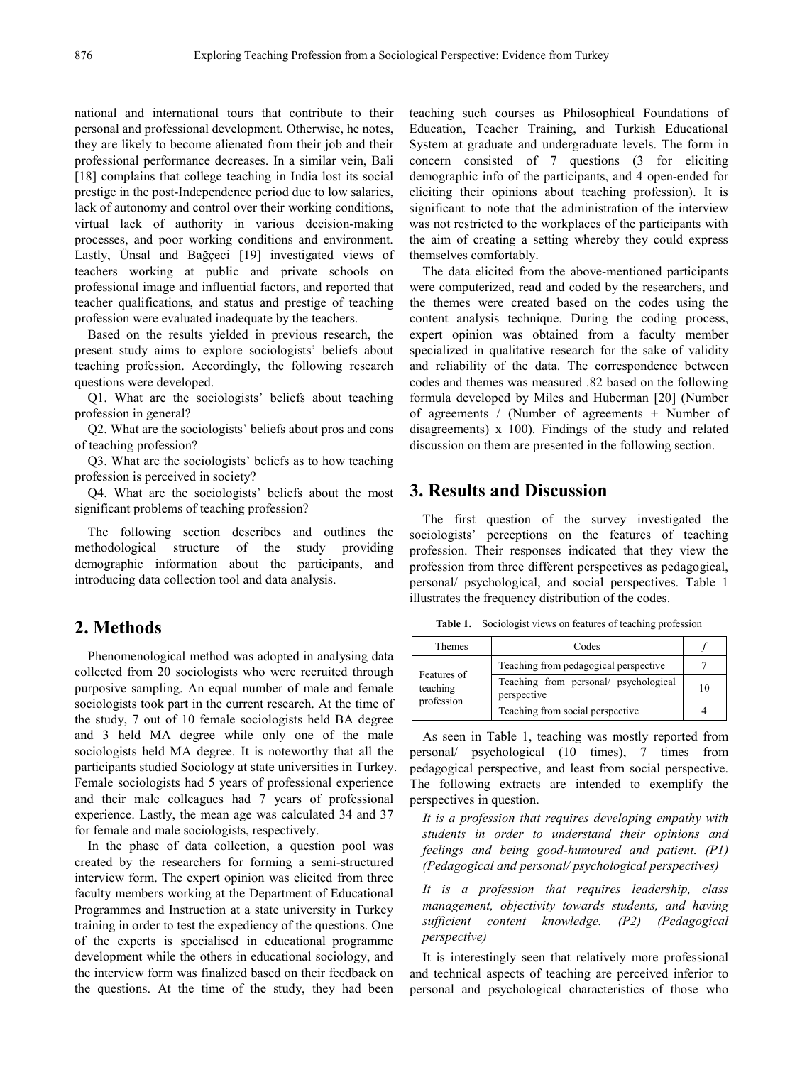national and international tours that contribute to their personal and professional development. Otherwise, he notes, they are likely to become alienated from their job and their professional performance decreases. In a similar vein, Bali [18] complains that college teaching in India lost its social prestige in the post-Independence period due to low salaries, lack of autonomy and control over their working conditions, virtual lack of authority in various decision-making processes, and poor working conditions and environment. Lastly, Ünsal and Bağçeci [19] investigated views of teachers working at public and private schools on professional image and influential factors, and reported that teacher qualifications, and status and prestige of teaching profession were evaluated inadequate by the teachers.

Based on the results yielded in previous research, the present study aims to explore sociologists' beliefs about teaching profession. Accordingly, the following research questions were developed.

Q1. What are the sociologists' beliefs about teaching profession in general?

Q2. What are the sociologists' beliefs about pros and cons of teaching profession?

Q3. What are the sociologists' beliefs as to how teaching profession is perceived in society?

Q4. What are the sociologists' beliefs about the most significant problems of teaching profession?

The following section describes and outlines the methodological structure of the study providing demographic information about the participants, and introducing data collection tool and data analysis.

### **2. Methods**

Phenomenological method was adopted in analysing data collected from 20 sociologists who were recruited through purposive sampling. An equal number of male and female sociologists took part in the current research. At the time of the study, 7 out of 10 female sociologists held BA degree and 3 held MA degree while only one of the male sociologists held MA degree. It is noteworthy that all the participants studied Sociology at state universities in Turkey. Female sociologists had 5 years of professional experience and their male colleagues had 7 years of professional experience. Lastly, the mean age was calculated 34 and 37 for female and male sociologists, respectively.

In the phase of data collection, a question pool was created by the researchers for forming a semi-structured interview form. The expert opinion was elicited from three faculty members working at the Department of Educational Programmes and Instruction at a state university in Turkey training in order to test the expediency of the questions. One of the experts is specialised in educational programme development while the others in educational sociology, and the interview form was finalized based on their feedback on the questions. At the time of the study, they had been

teaching such courses as Philosophical Foundations of Education, Teacher Training, and Turkish Educational System at graduate and undergraduate levels. The form in concern consisted of 7 questions (3 for eliciting demographic info of the participants, and 4 open-ended for eliciting their opinions about teaching profession). It is significant to note that the administration of the interview was not restricted to the workplaces of the participants with the aim of creating a setting whereby they could express themselves comfortably.

The data elicited from the above-mentioned participants were computerized, read and coded by the researchers, and the themes were created based on the codes using the content analysis technique. During the coding process, expert opinion was obtained from a faculty member specialized in qualitative research for the sake of validity and reliability of the data. The correspondence between codes and themes was measured .82 based on the following formula developed by Miles and Huberman [20] (Number of agreements / (Number of agreements + Number of disagreements) x 100). Findings of the study and related discussion on them are presented in the following section.

#### **3. Results and Discussion**

The first question of the survey investigated the sociologists' perceptions on the features of teaching profession. Their responses indicated that they view the profession from three different perspectives as pedagogical, personal/ psychological, and social perspectives. Table 1 illustrates the frequency distribution of the codes.

**Table 1.** Sociologist views on features of teaching profession

| Themes                                | Codes                                                |    |
|---------------------------------------|------------------------------------------------------|----|
| Features of<br>teaching<br>profession | Teaching from pedagogical perspective                |    |
|                                       | Teaching from personal/ psychological<br>perspective | 10 |
|                                       | Teaching from social perspective                     |    |

As seen in Table 1, teaching was mostly reported from personal/ psychological (10 times), 7 times from pedagogical perspective, and least from social perspective. The following extracts are intended to exemplify the perspectives in question.

*It is a profession that requires developing empathy with students in order to understand their opinions and feelings and being good-humoured and patient. (P1) (Pedagogical and personal/ psychological perspectives)*

*It is a profession that requires leadership, class management, objectivity towards students, and having sufficient content knowledge. (P2) (Pedagogical perspective)*

It is interestingly seen that relatively more professional and technical aspects of teaching are perceived inferior to personal and psychological characteristics of those who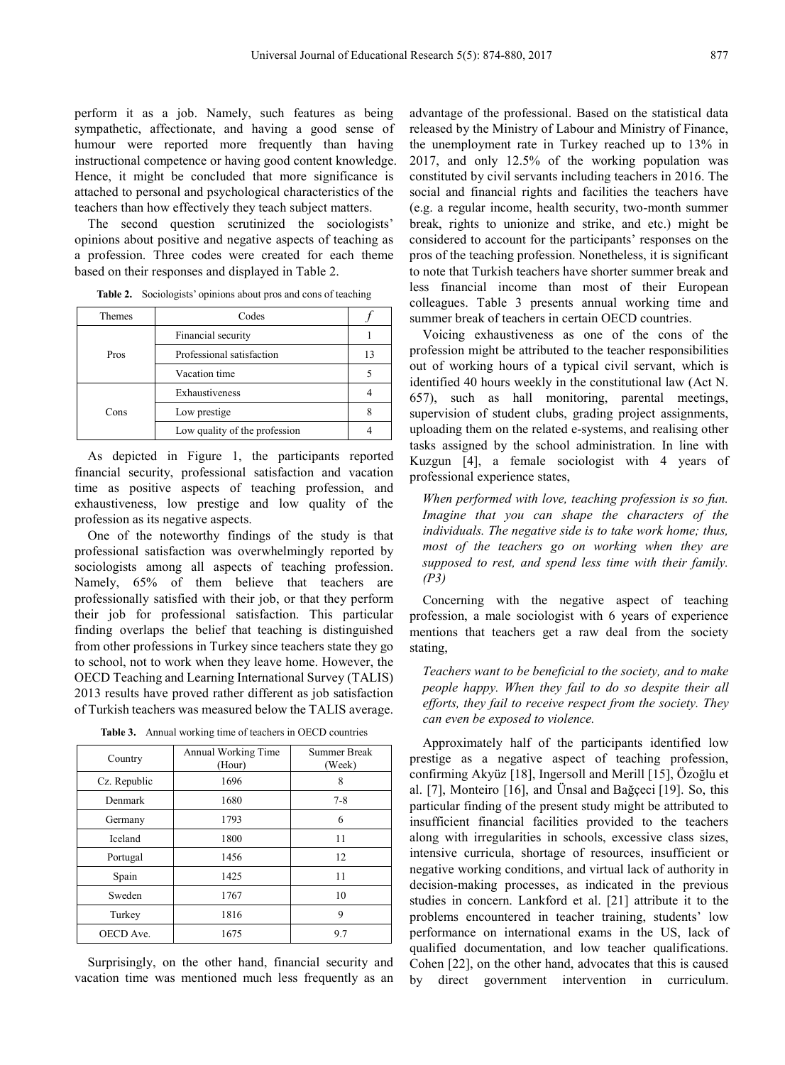perform it as a job. Namely, such features as being sympathetic, affectionate, and having a good sense of humour were reported more frequently than having instructional competence or having good content knowledge. Hence, it might be concluded that more significance is attached to personal and psychological characteristics of the teachers than how effectively they teach subject matters.

The second question scrutinized the sociologists' opinions about positive and negative aspects of teaching as a profession. Three codes were created for each theme based on their responses and displayed in Table 2.

| Themes | Codes                         |    |
|--------|-------------------------------|----|
| Pros   | Financial security            |    |
|        | Professional satisfaction     | 13 |
|        | Vacation time                 |    |
| Cons   | Exhaustiveness                |    |
|        | Low prestige                  |    |
|        | Low quality of the profession |    |

**Table 2.** Sociologists' opinions about pros and cons of teaching

As depicted in Figure 1, the participants reported financial security, professional satisfaction and vacation time as positive aspects of teaching profession, and exhaustiveness, low prestige and low quality of the profession as its negative aspects.

One of the noteworthy findings of the study is that professional satisfaction was overwhelmingly reported by sociologists among all aspects of teaching profession. Namely, 65% of them believe that teachers are professionally satisfied with their job, or that they perform their job for professional satisfaction. This particular finding overlaps the belief that teaching is distinguished from other professions in Turkey since teachers state they go to school, not to work when they leave home. However, the OECD Teaching and Learning International Survey (TALIS) 2013 results have proved rather different as job satisfaction of Turkish teachers was measured below the TALIS average.

| Country      | Annual Working Time<br>(Hour) | Summer Break<br>(Week) |
|--------------|-------------------------------|------------------------|
| Cz. Republic | 1696                          | 8                      |
| Denmark      | 1680                          | $7 - 8$                |
| Germany      | 1793                          | 6                      |
| Iceland      | 1800                          | 11                     |
| Portugal     | 1456                          | 12                     |
| Spain        | 1425                          | 11                     |
| Sweden       | 1767                          | 10                     |
| Turkey       | 1816                          | 9                      |
| OECD Ave.    | 1675                          | 9.7                    |

**Table 3.** Annual working time of teachers in OECD countries

Surprisingly, on the other hand, financial security and vacation time was mentioned much less frequently as an advantage of the professional. Based on the statistical data released by the Ministry of Labour and Ministry of Finance, the unemployment rate in Turkey reached up to 13% in 2017, and only 12.5% of the working population was constituted by civil servants including teachers in 2016. The social and financial rights and facilities the teachers have (e.g. a regular income, health security, two-month summer break, rights to unionize and strike, and etc.) might be considered to account for the participants' responses on the pros of the teaching profession. Nonetheless, it is significant to note that Turkish teachers have shorter summer break and less financial income than most of their European colleagues. Table 3 presents annual working time and summer break of teachers in certain OECD countries.

Voicing exhaustiveness as one of the cons of the profession might be attributed to the teacher responsibilities out of working hours of a typical civil servant, which is identified 40 hours weekly in the constitutional law (Act N. 657), such as hall monitoring, parental meetings, supervision of student clubs, grading project assignments, uploading them on the related e-systems, and realising other tasks assigned by the school administration. In line with Kuzgun [4], a female sociologist with 4 years of professional experience states,

*When performed with love, teaching profession is so fun. Imagine that you can shape the characters of the individuals. The negative side is to take work home; thus, most of the teachers go on working when they are supposed to rest, and spend less time with their family. (P3)*

Concerning with the negative aspect of teaching profession, a male sociologist with 6 years of experience mentions that teachers get a raw deal from the society stating,

*Teachers want to be beneficial to the society, and to make people happy. When they fail to do so despite their all efforts, they fail to receive respect from the society. They can even be exposed to violence.*

Approximately half of the participants identified low prestige as a negative aspect of teaching profession, confirming Akyüz [18], Ingersoll and Merill [15], Özoğlu et al. [7], Monteiro [16], and Ünsal and Bağçeci [19]. So, this particular finding of the present study might be attributed to insufficient financial facilities provided to the teachers along with irregularities in schools, excessive class sizes, intensive curricula, shortage of resources, insufficient or negative working conditions, and virtual lack of authority in decision-making processes, as indicated in the previous studies in concern. Lankford et al. [21] attribute it to the problems encountered in teacher training, students' low performance on international exams in the US, lack of qualified documentation, and low teacher qualifications. Cohen [22], on the other hand, advocates that this is caused by direct government intervention in curriculum.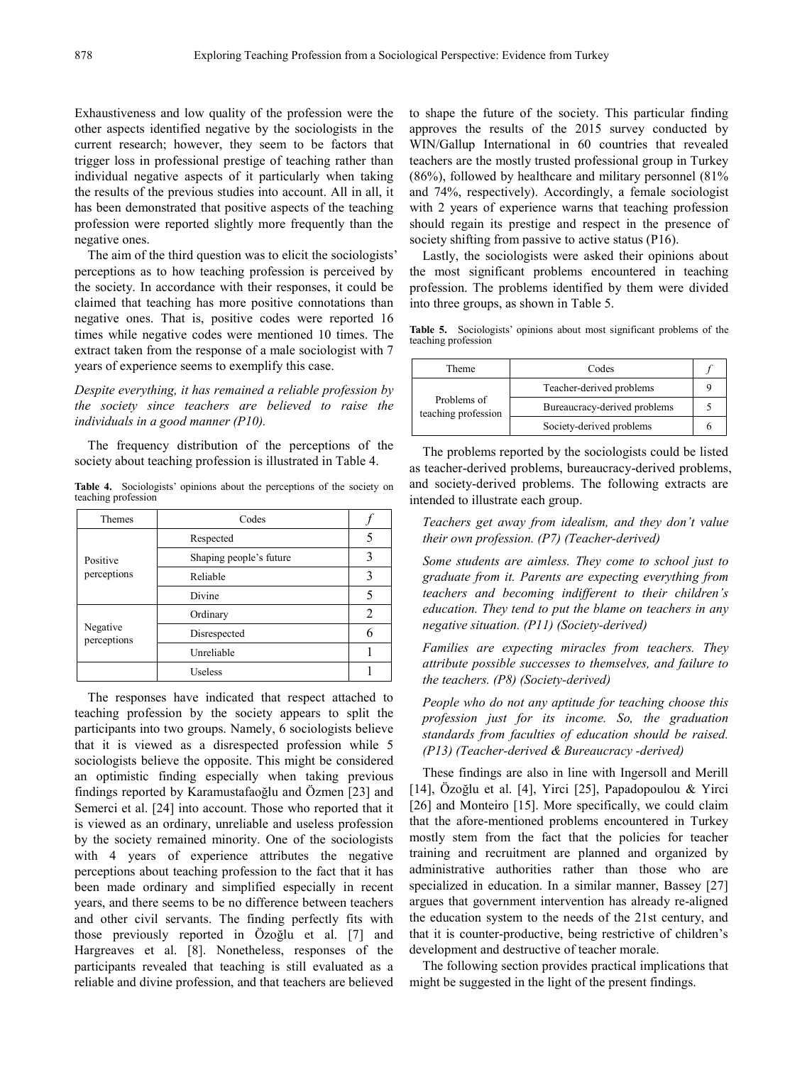Exhaustiveness and low quality of the profession were the other aspects identified negative by the sociologists in the current research; however, they seem to be factors that trigger loss in professional prestige of teaching rather than individual negative aspects of it particularly when taking the results of the previous studies into account. All in all, it has been demonstrated that positive aspects of the teaching profession were reported slightly more frequently than the negative ones.

The aim of the third question was to elicit the sociologists' perceptions as to how teaching profession is perceived by the society. In accordance with their responses, it could be claimed that teaching has more positive connotations than negative ones. That is, positive codes were reported 16 times while negative codes were mentioned 10 times. The extract taken from the response of a male sociologist with 7 years of experience seems to exemplify this case.

*Despite everything, it has remained a reliable profession by the society since teachers are believed to raise the individuals in a good manner (P10).*

The frequency distribution of the perceptions of the society about teaching profession is illustrated in Table 4.

**Table 4.** Sociologists' opinions about the perceptions of the society on teaching profession

| <b>Themes</b>           | Codes                   |   |
|-------------------------|-------------------------|---|
| Positive<br>perceptions | Respected               |   |
|                         | Shaping people's future | 3 |
|                         | Reliable                | 3 |
|                         | Divine                  | 5 |
| Negative<br>perceptions | Ordinary                | 2 |
|                         | Disrespected            | 6 |
|                         | Unreliable              |   |
|                         | <b>Useless</b>          |   |

The responses have indicated that respect attached to teaching profession by the society appears to split the participants into two groups. Namely, 6 sociologists believe that it is viewed as a disrespected profession while 5 sociologists believe the opposite. This might be considered an optimistic finding especially when taking previous findings reported by Karamustafaoğlu and Özmen [23] and Semerci et al. [24] into account. Those who reported that it is viewed as an ordinary, unreliable and useless profession by the society remained minority. One of the sociologists with 4 years of experience attributes the negative perceptions about teaching profession to the fact that it has been made ordinary and simplified especially in recent years, and there seems to be no difference between teachers and other civil servants. The finding perfectly fits with those previously reported in Özoğlu et al. [7] and Hargreaves et al. [8]. Nonetheless, responses of the participants revealed that teaching is still evaluated as a reliable and divine profession, and that teachers are believed

to shape the future of the society. This particular finding approves the results of the 2015 survey conducted by WIN/Gallup International in 60 countries that revealed teachers are the mostly trusted professional group in Turkey (86%), followed by healthcare and military personnel (81% and 74%, respectively). Accordingly, a female sociologist with 2 years of experience warns that teaching profession should regain its prestige and respect in the presence of society shifting from passive to active status (P16).

Lastly, the sociologists were asked their opinions about the most significant problems encountered in teaching profession. The problems identified by them were divided into three groups, as shown in Table 5.

**Table 5.** Sociologists' opinions about most significant problems of the teaching profession

| Theme                              | Codes                        |  |
|------------------------------------|------------------------------|--|
| Problems of<br>teaching profession | Teacher-derived problems     |  |
|                                    | Bureaucracy-derived problems |  |
|                                    | Society-derived problems     |  |

The problems reported by the sociologists could be listed as teacher-derived problems, bureaucracy-derived problems, and society-derived problems. The following extracts are intended to illustrate each group.

*Teachers get away from idealism, and they don't value their own profession. (P7) (Teacher-derived)*

*Some students are aimless. They come to school just to graduate from it. Parents are expecting everything from teachers and becoming indifferent to their children's education. They tend to put the blame on teachers in any negative situation. (P11) (Society-derived)*

*Families are expecting miracles from teachers. They attribute possible successes to themselves, and failure to the teachers. (P8) (Society-derived)*

*People who do not any aptitude for teaching choose this profession just for its income. So, the graduation standards from faculties of education should be raised. (P13) (Teacher-derived & Bureaucracy -derived)*

These findings are also in line with Ingersoll and Merill [14], Özoğlu et al. [4], Yirci [25], Papadopoulou & Yirci [26] and Monteiro [15]. More specifically, we could claim that the afore-mentioned problems encountered in Turkey mostly stem from the fact that the policies for teacher training and recruitment are planned and organized by administrative authorities rather than those who are specialized in education. In a similar manner, Bassey [27] argues that government intervention has already re-aligned the education system to the needs of the 21st century, and that it is counter-productive, being restrictive of children's development and destructive of teacher morale.

The following section provides practical implications that might be suggested in the light of the present findings.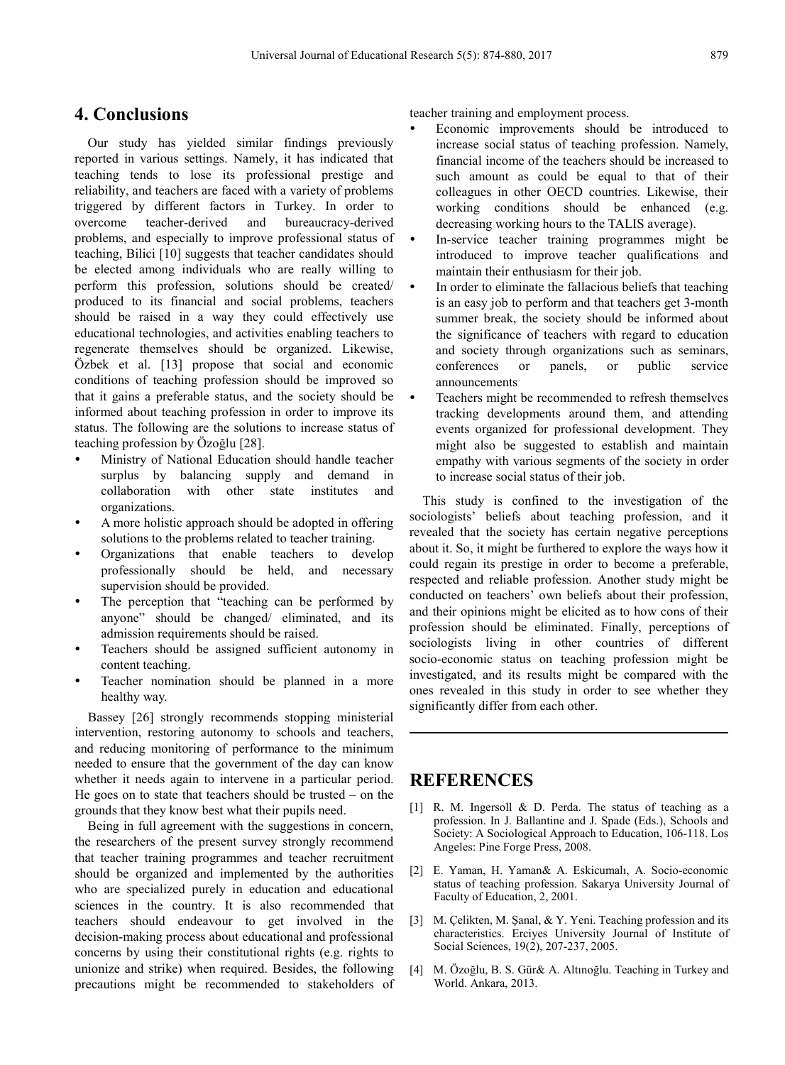#### **4. Conclusions**

Our study has yielded similar findings previously reported in various settings. Namely, it has indicated that teaching tends to lose its professional prestige and reliability, and teachers are faced with a variety of problems triggered by different factors in Turkey. In order to overcome teacher-derived and bureaucracy-derived problems, and especially to improve professional status of teaching, Bilici [10] suggests that teacher candidates should be elected among individuals who are really willing to perform this profession, solutions should be created/ produced to its financial and social problems, teachers should be raised in a way they could effectively use educational technologies, and activities enabling teachers to regenerate themselves should be organized. Likewise, Özbek et al. [13] propose that social and economic conditions of teaching profession should be improved so that it gains a preferable status, and the society should be informed about teaching profession in order to improve its status. The following are the solutions to increase status of teaching profession by Özoğlu [28].

- Ministry of National Education should handle teacher surplus by balancing supply and demand in collaboration with other state institutes and organizations.
- A more holistic approach should be adopted in offering solutions to the problems related to teacher training.
- Organizations that enable teachers to develop professionally should be held, and necessary supervision should be provided.
- The perception that "teaching can be performed by anyone" should be changed/ eliminated, and its admission requirements should be raised.
- Teachers should be assigned sufficient autonomy in content teaching.
- Teacher nomination should be planned in a more healthy way.

Bassey [26] strongly recommends stopping ministerial intervention, restoring autonomy to schools and teachers, and reducing monitoring of performance to the minimum needed to ensure that the government of the day can know whether it needs again to intervene in a particular period. He goes on to state that teachers should be trusted – on the grounds that they know best what their pupils need.

Being in full agreement with the suggestions in concern, the researchers of the present survey strongly recommend that teacher training programmes and teacher recruitment should be organized and implemented by the authorities who are specialized purely in education and educational sciences in the country. It is also recommended that teachers should endeavour to get involved in the decision-making process about educational and professional concerns by using their constitutional rights (e.g. rights to unionize and strike) when required. Besides, the following precautions might be recommended to stakeholders of teacher training and employment process.

- Economic improvements should be introduced to increase social status of teaching profession. Namely, financial income of the teachers should be increased to such amount as could be equal to that of their colleagues in other OECD countries. Likewise, their working conditions should be enhanced (e.g. decreasing working hours to the TALIS average).
- In-service teacher training programmes might be introduced to improve teacher qualifications and maintain their enthusiasm for their job.
- In order to eliminate the fallacious beliefs that teaching is an easy job to perform and that teachers get 3-month summer break, the society should be informed about the significance of teachers with regard to education and society through organizations such as seminars, conferences or panels, or public service announcements
- Teachers might be recommended to refresh themselves tracking developments around them, and attending events organized for professional development. They might also be suggested to establish and maintain empathy with various segments of the society in order to increase social status of their job.

This study is confined to the investigation of the sociologists' beliefs about teaching profession, and it revealed that the society has certain negative perceptions about it. So, it might be furthered to explore the ways how it could regain its prestige in order to become a preferable, respected and reliable profession. Another study might be conducted on teachers' own beliefs about their profession, and their opinions might be elicited as to how cons of their profession should be eliminated. Finally, perceptions of sociologists living in other countries of different socio-economic status on teaching profession might be investigated, and its results might be compared with the ones revealed in this study in order to see whether they significantly differ from each other.

#### **REFERENCES**

- [1] R. M. Ingersoll & D. Perda. The status of teaching as a profession. In J. Ballantine and J. Spade (Eds.), Schools and Society: A Sociological Approach to Education, 106-118. Los Angeles: Pine Forge Press, 2008.
- [2] E. Yaman, H. Yaman& A. Eskicumalı, A. Socio-economic status of teaching profession. Sakarya University Journal of Faculty of Education, 2, 2001.
- [3] M. Çelikten, M. Şanal, & Y. Yeni. Teaching profession and its characteristics. Erciyes University Journal of Institute of Social Sciences, 19(2), 207-237, 2005.
- [4] M. Özoğlu, B. S. Gür& A. Altınoğlu. Teaching in Turkey and World. Ankara, 2013.